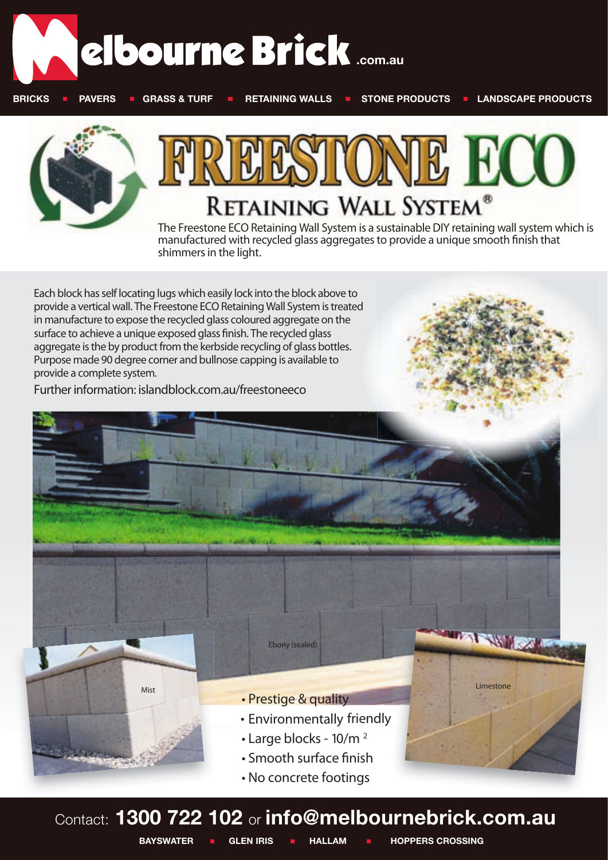





**manufactured with recycled glass aggregatesto provide a unique smooth finish that shimmersin the light.**

**Each block has self locating lugs which easily lock into the block above to provide a vertical wall. The Freestone ECO Retaining Wall System istreated in manufacture to expose the recycled glass coloured aggregate on the surface to achieve a unique exposed glass nish. The recycled glass aggregate is the by product from the kerbside recycling of glass bottles. Purpose made 90 degree corner and bullnose capping is available to provide a complete system.** 

**Further information: islandblock.com.au/freestoneeco**



Contact: **1300 722 102** or **info@melbournebrick.com.au** 

**BAYSWATER I GLEN IRIS I HALLAM I HOPPERS CROSSING**